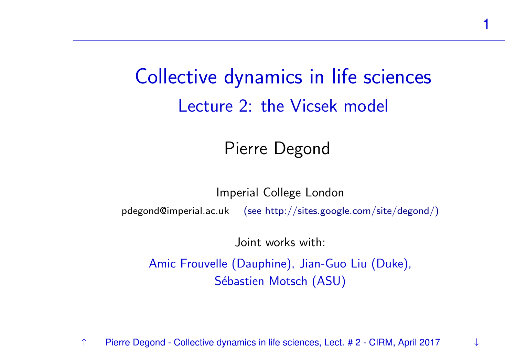Collective dynamics in life sciences Lecture 2: the Vicsek model

1

#### Pierre Degond

Imperial College London $\mathsf{pdegond@imperial.ac.uk} \quad \mathsf{(see \ http://sites.google.com/site/degond/})$ 

Joint works with:

Amic Frouvelle (Dauphine), Jian-Guo Liu (Duke), Sébastien Motsch (ASU)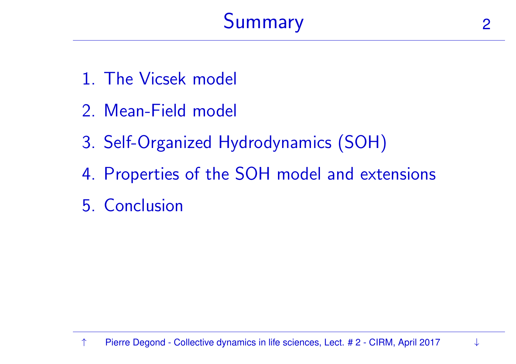

- 1. The [Vicsek](#page-2-0) model
- 2. [Mean-Field](#page-4-0) model
- 3. Self-Organized [Hydrodynamics](#page-10-0) (SOH)
- 4. [Properties](#page-22-0) of the SOH model and extensions
- <span id="page-1-0"></span>5. [Conclusion](#page-32-0)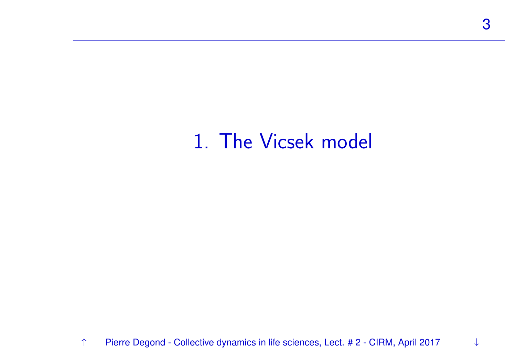## <span id="page-2-0"></span>1. The Vicsek model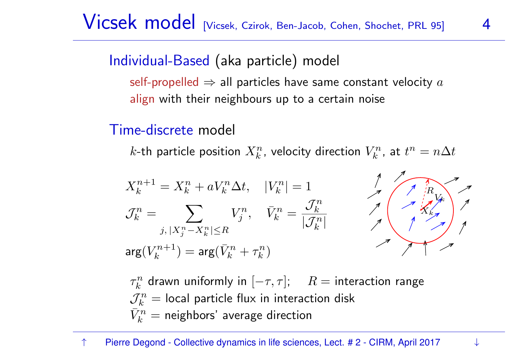#### Individual-Based (aka particle) model

self-propelled  $\Rightarrow$  all particles have same constant velocity  $a$ align with their neighbours up to <sup>a</sup> certain noise

#### Time-discrete model

 $k$ -th particle position  $X^n_k$ , velocity direction  $V^n_k$ , at  $t^n = n \Delta t$ 

$$
X_k^{n+1} = X_k^n + aV_k^n \Delta t, \quad |V_k^n| = 1
$$
  

$$
\mathcal{J}_k^n = \sum_{j, |X_j^n - X_k^n| \le R} V_j^n, \quad \bar{V}_k^n = \frac{\mathcal{J}_k^n}{|\mathcal{J}_k^n|}
$$
  

$$
\arg(V_k^{n+1}) = \arg(\bar{V}_k^n + \tau_k^n)
$$



 $\tau_k^n$  drawn uniformly in  $[-\tau,\tau]; \hspace{0.5cm} R = \text{interaction range}$  $\mathcal{J}_k^n =$  local particle flux in interaction disk  $\bar{V}_k^n =$  neighbors' average direction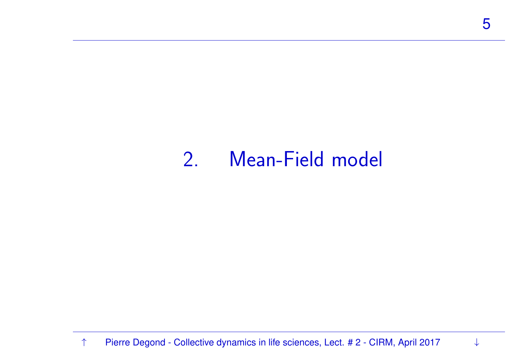#### <span id="page-4-0"></span>2. Mean-Field model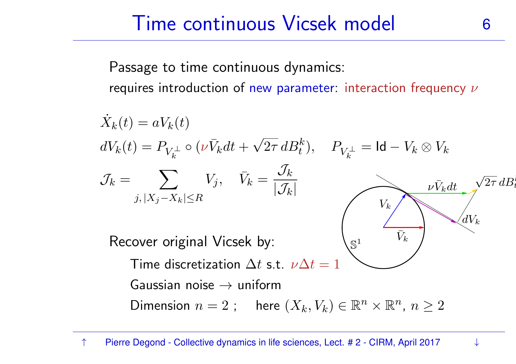# Time continuous Vicsek model 6

Passage to time continuous dynamics: requires introduction of new parameter: interaction frequency  $\nu$ 

$$
\dot{X}_k(t) = aV_k(t)
$$
\n
$$
dV_k(t) = P_{V_k^{\perp}} \circ (\nu \bar{V}_k dt + \sqrt{2\tau} dB_t^k), \quad P_{V_k^{\perp}} = \text{Id} - V_k \otimes V_k
$$
\n
$$
\mathcal{J}_k = \sum_{j, |X_j - X_k| \le R} V_j, \quad \bar{V}_k = \frac{\mathcal{J}_k}{|\mathcal{J}_k|}
$$
\n
$$
\text{Recover original Vicsek by:}
$$
\n
$$
\text{Time discretization } \Delta t \text{ s.t. } \nu \Delta t = 1
$$
\n
$$
\text{Gaussian noise} \to \text{uniform}
$$
\n
$$
\text{Dimension } n = 2 \text{; } \text{here } (X_k, V_k) \in \mathbb{R}^n \times \mathbb{R}^n, n \ge 2
$$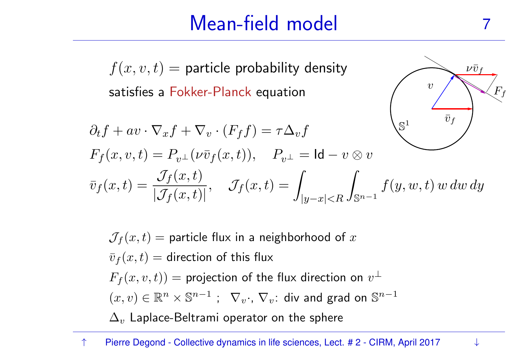# Mean-field model

 $\nu\bar{\upsilon}$  f

 $\overline{v}$ 

 $F_f\$ 

 $f(x,v,t) =$  particle probability density satisfies <sup>a</sup> Fokker-Planck equation

$$
\partial_t f + av \cdot \nabla_x f + \nabla_v \cdot (F_f f) = \tau \Delta_v f
$$
  
\n
$$
F_f(x, v, t) = P_{v^{\perp}}(\nu \bar{v}_f(x, t)), \quad P_{v^{\perp}} = \text{Id} - v \otimes v
$$
  
\n
$$
\bar{v}_f(x, t) = \frac{\mathcal{J}_f(x, t)}{|\mathcal{J}_f(x, t)|}, \quad \mathcal{J}_f(x, t) = \int_{|y - x| < R} \int_{\mathbb{S}^{n-1}} f(y, w, t) w \, dw \, dy
$$

 $\mathcal{J}_f(x,t)$   $=$  particle flux in a neighborhood of  $x$  $\bar{v}_f (x, t) =$  direction of this flux  $F_f (x,v,t)) =$  projection of the flux direction on  $v^\perp$  $(x, v) \in \mathbb{R}^n \times \mathbb{S}^{n-1}$  ;  $\nabla_v \cdot$ ,  $\nabla_v$ : div and grad on  $\mathbb{S}^{n-1}$  $\Delta_v$  Laplace-Beltrami operator on the sphere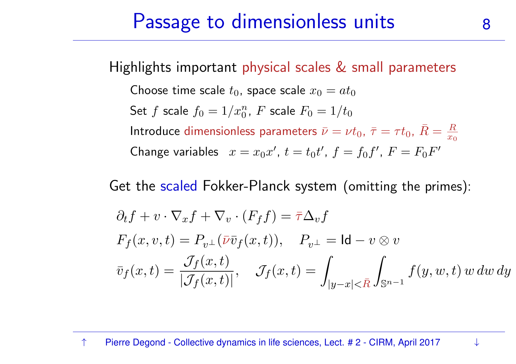#### Passage to dimensionless units 8

Highlights important physical scales & small parameters

Choose time scale 
$$
t_0
$$
, space scale  $x_0 = at_0$   
\nSet  $f$  scale  $f_0 = 1/x_0^n$ ,  $F$  scale  $F_0 = 1/t_0$   
\nIntroduce dimensionless parameters  $\bar{\nu} = \nu t_0$ ,  $\bar{\tau} = \tau t_0$ ,  $\bar{R} = \frac{R}{x_0}$   
\nChange variables  $x = x_0 x'$ ,  $t = t_0 t'$ ,  $f = f_0 f'$ ,  $F = F_0 F'$ 

Get the scaled Fokker-Planck system (omitting the primes):

$$
\partial_t f + v \cdot \nabla_x f + \nabla_v \cdot (F_f f) = \overline{\tau} \Delta_v f
$$
  
\n
$$
F_f(x, v, t) = P_{v^{\perp}}(\overline{\nu} \overline{v}_f(x, t)), \quad P_{v^{\perp}} = \text{Id} - v \otimes v
$$
  
\n
$$
\overline{v}_f(x, t) = \frac{\mathcal{J}_f(x, t)}{|\mathcal{J}_f(x, t)|}, \quad \mathcal{J}_f(x, t) = \int_{|y - x| < \overline{R}} \int_{\mathbb{S}^{n-1}} f(y, w, t) w \, dw \, dy
$$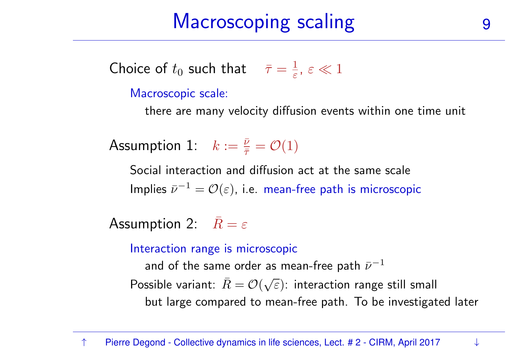Choice of  $t_0$  such that  $\bar{\tau} = \frac{1}{\varepsilon}, \, \varepsilon \ll 1$ 

Macroscopic scale:

there are many velocity diffusion events within one time unit

Assumption 1:  $k := \frac{\bar{\nu}}{\bar{\tau}} = \mathcal{O}(1)$ 

Social interaction and diffusion act at the same scale Implies  $\bar{\nu}^{-1} = \mathcal{O}(\varepsilon)$ , i.e. mean-free path is microscopic

Assumption 2:  $\bar{R} = \varepsilon$ 

Interaction range is microscopic

and of the same order as mean-free path  $\bar{\nu}^{-1}$ Possible variant:  $\bar{R}=\mathcal{O}(\sqrt{\varepsilon})$ : interaction range still small but large compared to mean-free path. To be investigated later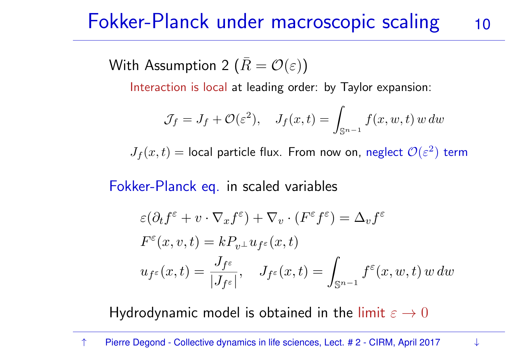#### Fokker-Planck under macroscopic scaling 10

With Assumption 2  $(\bar{R}=\mathcal{O}(\varepsilon))$ 

Interaction is local at leading order: by Taylor expansion:

$$
\mathcal{J}_f = J_f + \mathcal{O}(\varepsilon^2), \quad J_f(x, t) = \int_{\mathbb{S}^{n-1}} f(x, w, t) w dw
$$

 $J_f (x, t) =$  local particle flux. From now on, neglect  $\mathcal{O}(\varepsilon^2)$  term

Fokker-Planck eq. in scaled variables

$$
\varepsilon(\partial_t f^{\varepsilon} + v \cdot \nabla_x f^{\varepsilon}) + \nabla_v \cdot (F^{\varepsilon} f^{\varepsilon}) = \Delta_v f^{\varepsilon}
$$

$$
F^{\varepsilon}(x, v, t) = k P_{v^{\perp}} u_{f^{\varepsilon}}(x, t)
$$

$$
u_{f^{\varepsilon}}(x, t) = \frac{J_{f^{\varepsilon}}}{|J_{f^{\varepsilon}}|}, \quad J_{f^{\varepsilon}}(x, t) = \int_{\mathbb{S}^{n-1}} f^{\varepsilon}(x, w, t) w dw
$$

Hydrodynamic model is obtained in the limit  $\varepsilon \to 0$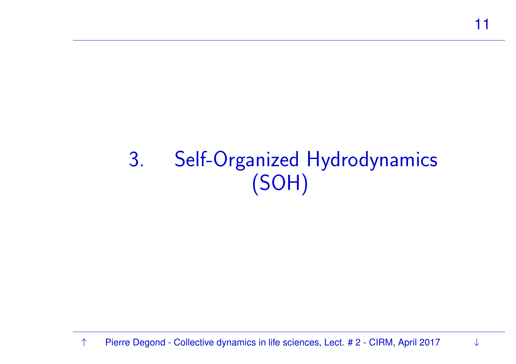# <span id="page-10-0"></span>3. Self-Organized Hydrodynamics (SOH)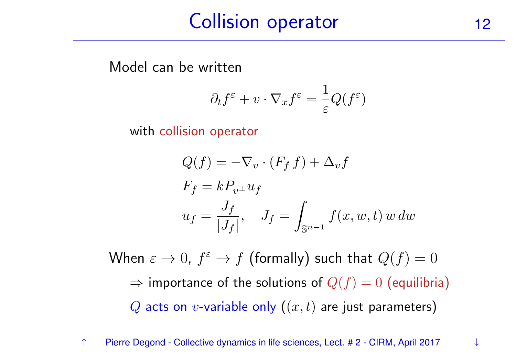## Collision operator 12

Model can be written

$$
\partial_t f^{\varepsilon} + v \cdot \nabla_x f^{\varepsilon} = \frac{1}{\varepsilon} Q(f^{\varepsilon})
$$

with collision operator

$$
Q(f) = -\nabla_v \cdot (F_f f) + \Delta_v f
$$
  
\n
$$
F_f = kP_{v^{\perp}} u_f
$$
  
\n
$$
u_f = \frac{J_f}{|J_f|}, \quad J_f = \int_{\mathbb{S}^{n-1}} f(x, w, t) w dw
$$

When  $\varepsilon \to 0$ ,  $f^{\varepsilon} \to f$  (formally) such that  $Q(f) = 0$  $\Rightarrow$  importance of the solutions of  $Q(f)=0$  (equilibria)  $Q$  acts on  $v$ -variable only  $\bm((x,t)$  are just parameters)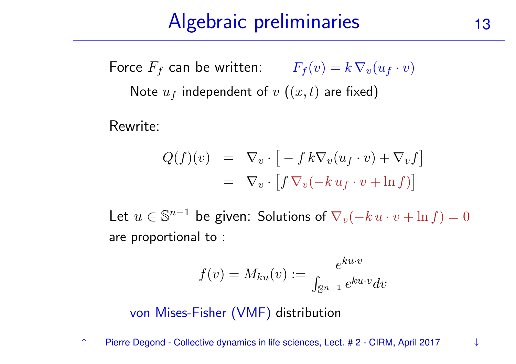# Algebraic preliminaries 13

Force  $F_f$  can be written:  $F_f(v) = k \, \nabla_v (u_f \cdot v)$ Note  $u_f$  independent of  $v\,\left((x,t)\right.$  are fixed)

Rewrite:

$$
Q(f)(v) = \nabla_v \cdot \left[ -f k \nabla_v (u_f \cdot v) + \nabla_v f \right]
$$
  
= 
$$
\nabla_v \cdot \left[ f \nabla_v (-k u_f \cdot v + \ln f) \right]
$$

Let  $u \in \mathbb{S}^{n-1}$  be given: Solutions of  $\nabla_v(-k \, u \cdot v + \ln f) = 0$ are proportional to :

$$
f(v) = M_{ku}(v) := \frac{e^{ku \cdot v}}{\int_{\mathbb{S}^{n-1}} e^{ku \cdot v} dv}
$$

von Mises-Fisher (VMF) distribution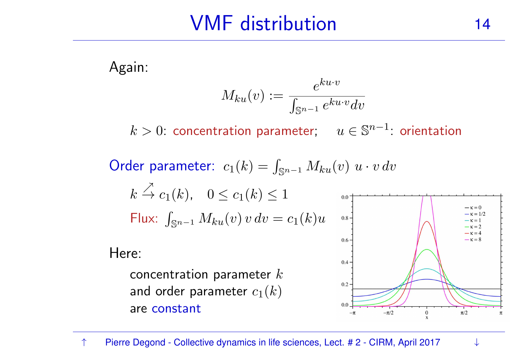## VMF distribution 14

Again:

$$
M_{ku}(v) := \frac{e^{ku \cdot v}}{\int_{\mathbb{S}^{n-1}} e^{ku \cdot v} dv}
$$

 $k > 0$ : concentration parameter;  $u \in \mathbb{S}^{n-1}$ : orientation

Order parameter:  $c_1(k) = \int_{\mathbb{S}^{n-1}} M_{ku}(v) \ u \cdot v \ dv$ 

$$
k \stackrel{\nearrow}{\to} c_1(k), \quad 0 \le c_1(k) \le 1
$$
  
Flux: 
$$
\int_{\mathbb{S}^{n-1}} M_{ku}(v) v dv = c_1(k)u
$$

Here:

concentration parameter  $k$ and order parameter  $c_1(k)$ are constant

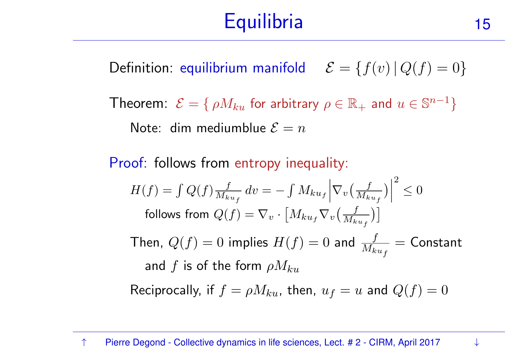#### **Equilibria** a 15

Definition: equilibrium manifold  $\mathcal{E} = \{f(v) | Q(f) = 0\}$ 

Theorem:  $\mathcal{E} = \{ \rho M_{ku} \text{ for arbitrary } \rho \in \mathbb{R}_+ \text{ and } u \in \mathbb{S}^{n-1} \}$ Note: dim mediumblue  $\mathcal{E}=n$ 

Proof: follows from entropy inequality:

$$
H(f) = \int Q(f) \frac{f}{M_{ku_f}} dv = -\int M_{ku_f} \left| \nabla_v \left( \frac{f}{M_{ku_f}} \right) \right|^2 \le 0
$$
  
follows from  $Q(f) = \nabla_v \cdot \left[ M_{ku_f} \nabla_v \left( \frac{f}{M_{ku_f}} \right) \right]$   
Then,  $Q(f) = 0$  implies  $H(f) = 0$  and  $\frac{f}{M_{ku_f}} = \text{Constant}$   
and  $f$  is of the form  $\rho M_{ku}$ 

Reciprocally, if  $f = \rho M_{ku}$ , then,  $u_f = u$  and  $Q(f) = 0$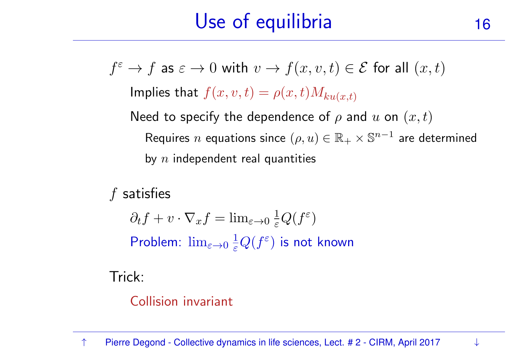# Use of equilibria 16

Implies that  $f(x, v, t) = \rho(x, t) M_{ku(x, t)}$ 

Need to specify the dependence of  $\rho$  and  $u$  on  $(x,t)$ Requires  $n$  equations since  $(\rho, u) \in \mathbb{R}_+ \times \mathbb{S}^{n-1}$  are determined by  $\overline{n}$  independent real quantities

 $f$  satisfies

 $\partial_t f + v \cdot \nabla_x f = \lim_{\varepsilon \to 0} \frac{1}{\varepsilon} Q(f^{\varepsilon})$ Problem:  $\lim_{\varepsilon\to 0} \frac{1}{\varepsilon} Q(f^\varepsilon)$  is not known

Trick:

Collision invariant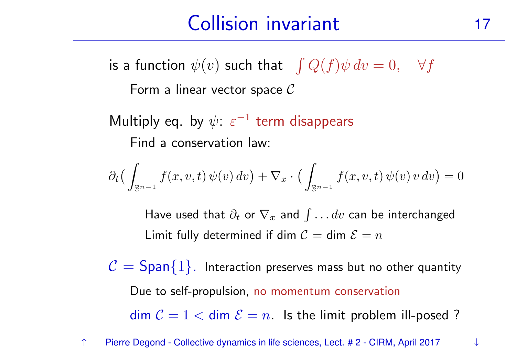# Collision invariant 17

is a function  $\psi(v)$  such that  $\int Q(f)\psi\,dv = 0, \quad \forall f$ 

Form a linear vector space  $\mathcal C$ 

Multiply eq. by  $\psi$ :  $\varepsilon^{-1}$  term disappears Find <sup>a</sup> conservation law:

$$
\partial_t \big( \int_{\mathbb{S}^{n-1}} f(x, v, t) \, \psi(v) \, dv \big) + \nabla_x \cdot \big( \int_{\mathbb{S}^{n-1}} f(x, v, t) \, \psi(v) \, v \, dv \big) = 0
$$

Have used that  $\partial_t$  or  $\nabla_x$  and  $\int \ldots dv$  can be interchanged Limit fully determined if dim  $\mathcal{C} =$  dim  $\mathcal{E} = n$ 

 $\mathcal{C} = \mathsf{Span}\{1\}.$  Interaction preserves mass but no other quantity Due to self-propulsion, no momentum conservation $\dim C = 1 < \dim \mathcal{E} = n$ . Is the limit problem ill-posed ?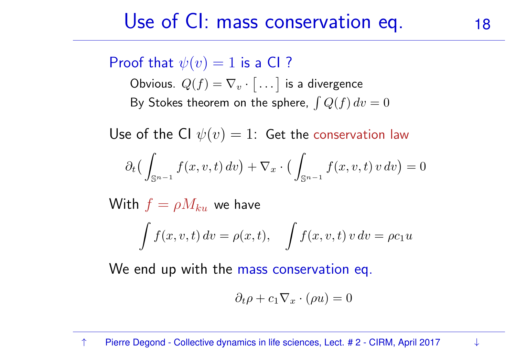#### Use of CI: mass conservation eq. 18

#### Proof that  $\psi(v) = 1$  is a CI?

Obvious.  $Q(f) = \nabla_v \cdot [$  $\left[\ldots\right]$  is a divergence By Stokes theorem on the sphere,  $\int Q(f) dv = 0$ 

Use of the CI  $\psi(v) = 1$ : Get the conservation law

$$
\partial_t \big( \int_{\mathbb{S}^{n-1}} f(x, v, t) dv \big) + \nabla_x \cdot \big( \int_{\mathbb{S}^{n-1}} f(x, v, t) v dv \big) = 0
$$

 $\mathsf{With}\; f = \rho M_{ku}\;$  we have  $\int f(x, v, t) dv = \rho(x, t), \quad \int f(x, v, t) v dv = \rho c_1 u$ 

We end up with the mass conservation eq.

$$
\partial_t \rho + c_1 \nabla_x \cdot (\rho u) = 0
$$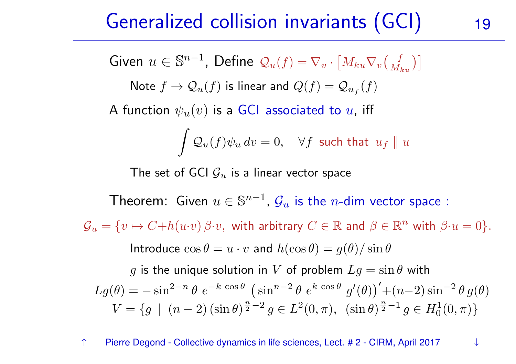#### Generalized collision invariants (GCI) 19

Given 
$$
u \in \mathbb{S}^{n-1}
$$
, Define  $Q_u(f) = \nabla_v \cdot [M_{ku} \nabla_v(\frac{f}{M_{ku}})]$ 

Note  $f \to \mathcal{Q}_u(f)$  is linear and  $Q(f) = \mathcal{Q}_{u_f}(f)$ 

A function  $\psi_u(v)$  is a GCI associated to  $u$ , iff

$$
\int \mathcal{Q}_u(f) \psi_u \, dv = 0, \quad \forall f \text{ such that } u_f \parallel u
$$

The set of GCI  $\mathcal{G}_u$  is a linear vector space

Theorem: Given  $u\in\mathbb{S}^{n-1}$ ,  $\mathcal{G}_u$  is the  $n$ -dim vector space :

 $\mathcal{G}_u = \{v \mapsto C + h(u \cdot v) \, \beta \cdot v, \, \text{ with arbitrary } C \in \mathbb{R} \text{ and } \beta \in \mathbb{R}^n \text{ with } \beta \cdot u = 0\}.$ 

Introduce  $\cos \theta = u \cdot v$  and  $h(\cos \theta) = g(\theta)/\sin \theta$ 

 $g$  is the unique solution in  $V$  of problem  $Lg = \sin \theta$  with  $Lg(\theta) = -\sin^{2-n}\theta \ e^{-k\cos\theta} \left(\sin^{n-2}\theta \ e^{k\cos\theta} \ g'(\theta)\right) + (n-2)\sin^{-2}\theta \ g(\theta)$  $V = \{g \mid (n-2)(\sin \theta)^{\frac{n}{2}-2} g \in L^2(0, \pi), \ (\sin \theta)^{\frac{n}{2}-1} g \in H_0^1(0, \pi)\}\$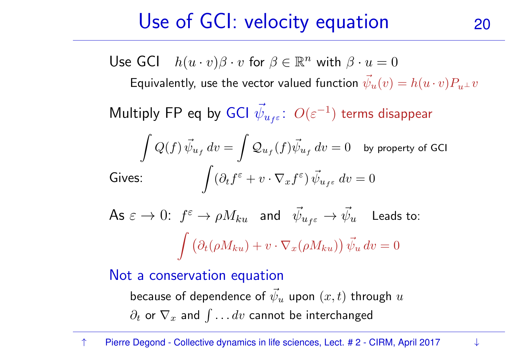# Use of GCI: velocity equation 20

Use GCI  $h(u \cdot v)\beta \cdot v$  for  $\beta \in \mathbb{R}^n$  with  $\beta \cdot u = 0$ 

Equivalently, use the vector valued function  $\vec{\psi}_u(v) = h(u \cdot v) P_{u^\perp} v$ 

Multiply FP eq by GCI  $\vec{\psi}_i$  $\psi_{u_f\varepsilon}\colon\,O(\varepsilon^{-1})$  terms disappear

$$
\int Q(f) \, \vec{\psi}_{u_f} \, dv = \int \mathcal{Q}_{u_f}(f) \vec{\psi}_{u_f} \, dv = 0 \quad \text{by property of GCl}
$$
\nGives:

\n
$$
\int (\partial_t f^\varepsilon + v \cdot \nabla_x f^\varepsilon) \, \vec{\psi}_{u_f \varepsilon} \, dv = 0
$$

As 
$$
\varepsilon \to 0
$$
:  $f^{\varepsilon} \to \rho M_{ku}$  and  $\vec{\psi}_{u_{f^{\varepsilon}}} \to \vec{\psi}_{u}$  leads to:  

$$
\int \left( \partial_{t}(\rho M_{ku}) + v \cdot \nabla_{x}(\rho M_{ku}) \right) \vec{\psi}_{u} dv = 0
$$

Not <sup>a</sup> conservation equation

because of dependence of  $\vec{\psi}$  $\partial_t$  or  $\nabla_x$  and  $\int \ldots dv$  cannot be interchanged  $\boldsymbol{\mathit{u}}$  $u$  upon  $(x,t)$  through  $u$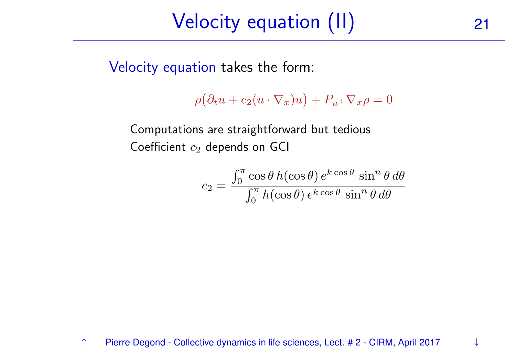# Velocity equation (II) <sup>21</sup>

Velocity equation takes the form:

$$
\rho(\partial_t u + c_2(u \cdot \nabla_x)u) + P_{u^{\perp}} \nabla_x \rho = 0
$$

Computations are straightforward but tedious Coefficient  $c_2$  depends on GCI

$$
c_2 = \frac{\int_0^{\pi} \cos \theta \, h(\cos \theta) \, e^{k \cos \theta} \, \sin^n \theta \, d\theta}{\int_0^{\pi} h(\cos \theta) \, e^{k \cos \theta} \, \sin^n \theta \, d\theta}
$$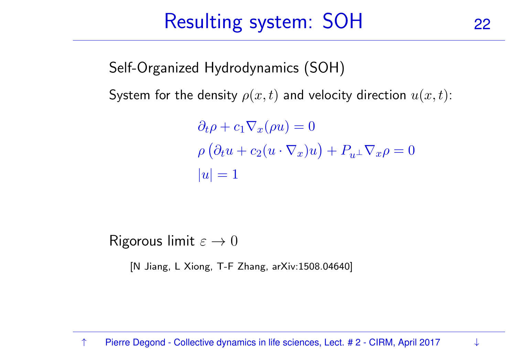#### Resulting system: SOH<sup>22</sup>

Self-Organized Hydrodynamics (SOH)

System for the density  $\rho(x,t)$  and velocity direction  $u(x,t)$ :

$$
\partial_t \rho + c_1 \nabla_x (\rho u) = 0
$$
  
 
$$
\rho (\partial_t u + c_2 (u \cdot \nabla_x) u) + P_{u^{\perp}} \nabla_x \rho = 0
$$
  
 
$$
|u| = 1
$$

Rigorous limit  $\varepsilon \to 0$ 

[N Jiang, <sup>L</sup> Xiong, T-F Zhang, arXiv:1508.04640]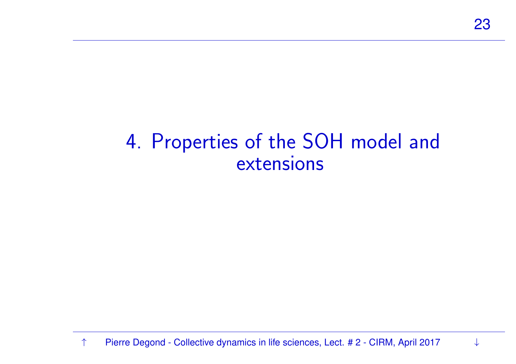#### <span id="page-22-0"></span>4. Properties of the SOH model and extensions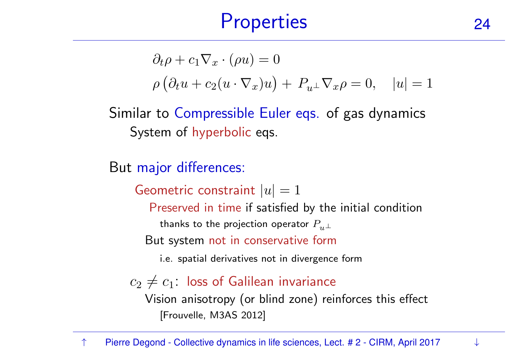#### **Properties**  $\sim$  24

$$
\partial_t \rho + c_1 \nabla_x \cdot (\rho u) = 0
$$
  
 
$$
\rho (\partial_t u + c_2 (u \cdot \nabla_x) u) + P_{u^{\perp}} \nabla_x \rho = 0, \quad |u| = 1
$$

Similar to Compressible Euler eqs. of gas dynamics System of hyperbolic eqs.

But major differences:

Geometric constraint  $|u| = 1$ 

Preserved in time if satisfied by the initial condition

thanks to the projection operator  $P_{u\perp}$ 

But system not in conservative form

i.e. spatial derivatives not in divergence form

 $c_2 \neq c_1$ : loss of Galilean invariance Vision anisotropy (or blind zone) reinforces this effect [Frouvelle, M3AS 2012]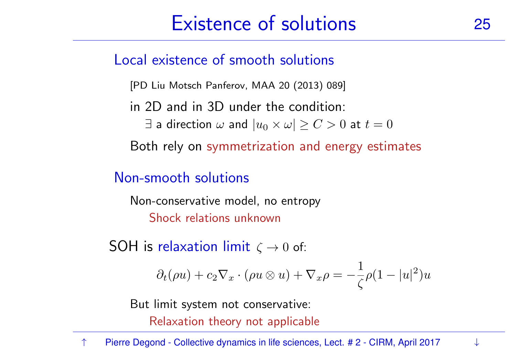# Existence of solutions 25

Local existence of smooth solutions

[PD Liu Motsch Panferov, MAA <sup>20</sup> (2013) 089]

in 2D and in 3D under the condition:

 $\exists$  a direction  $\omega$  and  $|u_0 \times \omega| \geq C > 0$  at  $t = 0$ 

Both rely on symmetrization and energy estimates

#### Non-smooth solutions

Non-conservative model, no entropy Shock relations unknown

 $\mathsf{SOH}\nolimits$  is relaxation limit  $\zeta\to 0$  of:

$$
\partial_t(\rho u) + c_2 \nabla_x \cdot (\rho u \otimes u) + \nabla_x \rho = -\frac{1}{\zeta} \rho (1 - |u|^2) u
$$

But limit system not conservative:

Relaxation theory not applicable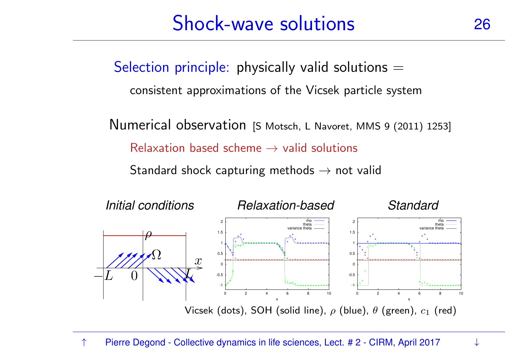# Shock-wave solutions 26

Selection principle: physically valid solutions  $=$ 

consistent approximations of the Vicsek particle system

Numerical observation [S Motsch, <sup>L</sup> Navoret, MMS <sup>9</sup> (2011) 1253]  $\sf Relaxation$  based scheme  $\rightarrow$  valid solutions

Standard shock capturing methods  $\rightarrow$  not valid

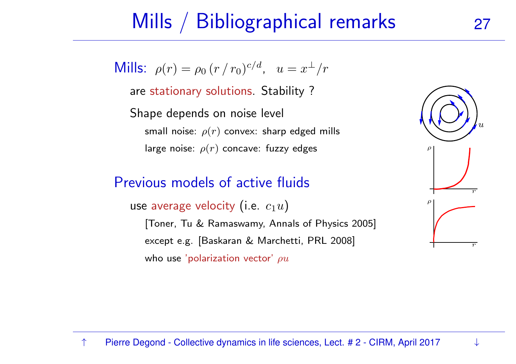## Mills / Bibliographical remarks

Mills:  $\rho(r) = \rho_0 (r/r_0)^{c/d}$ ,  $u = x^{\perp}/r$ 

are stationary solutions. Stability ?

Shape depends on noise level small noise:  $\rho(r)$  convex: sharp edged mills large noise:  $\rho(r)$  concave: fuzzy edges

#### Previous models of active fluids

use average velocity (i.e.  $\overline{c_1u})$ [Toner, Tu & Ramaswamy, Annals of Physics 2005] except e.g. [Baskaran & Marchetti, PRL 2008] who use 'polarization vector'  $\rho u$ 

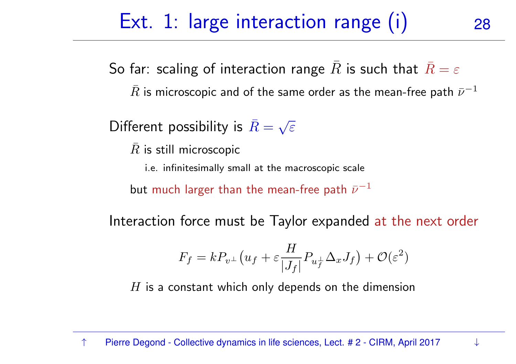# Ext. 1: large interaction range (i) 28

So far: scaling of interaction range  $\bar{R}$  is such that  $\bar{R}=\varepsilon$  $\bar{R}$  is microscopic and of the same order as the mean-free path  $\bar{\nu}^{-1}$ 

Different possibility is  $\bar{R}=\sqrt{\varepsilon}$ 

 $\bar{R}$  is still microscopic

i.e. infinitesimally small at the macroscopic scale

but much larger than the mean-free path  $\bar{\nu}^{-1}$ 

Interaction force must be Taylor expanded at the next order

$$
F_f = kP_{v^{\perp}}(u_f + \varepsilon \frac{H}{|J_f|} P_{u_f^{\perp}} \Delta_x J_f) + \mathcal{O}(\varepsilon^2)
$$

 $H$  is a constant which only depends on the dimension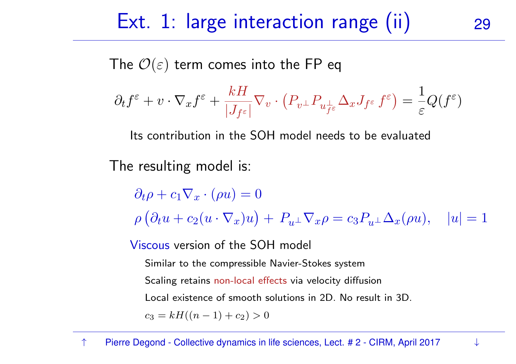#### Ext.  $1:$  large interaction range (ii)

The  $\mathcal{O}(\varepsilon)$  term comes into the FP eq

$$
\partial_t f^\varepsilon + v\cdot \nabla_x f^\varepsilon + \frac{kH}{|J_{f^\varepsilon}|}\nabla_v\cdot \left(P_{v^\perp}P_{u^\perp_{f^\varepsilon}}\Delta_x J_{f^\varepsilon}\,f^\varepsilon\right) = \frac{1}{\varepsilon}Q(f^\varepsilon)
$$

Its contribution in the SOH model needs to be evaluated

The resulting model is:

 $\partial_t \rho + c_1 \nabla_x \cdot (\rho u) = 0$  $\rho\left(\partial_t u + c_2(u\cdot\nabla_x)u\right) + P_{u^{\perp}}\nabla_x \rho = c_3P_{u^{\perp}}\Delta_x(\rho u), \quad |u| = 1$ 

Viscous version of the SOH model

Similar to the compressible Navier-Stokes system

Scaling retains non-local effects via velocity diffusion

Local existence of smooth solutions in 2D. No result in 3D.

 $c_3 = kH((n - 1) + c_2) > 0$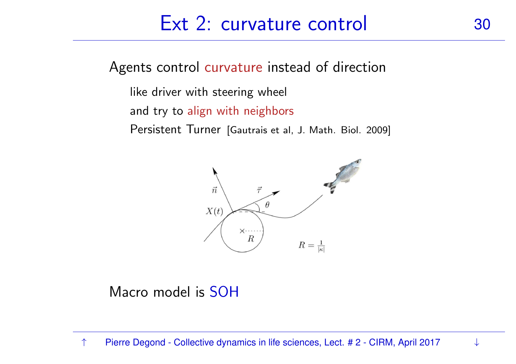#### Ext 2: curvature control 30

Agents control curvature instead of direction

like driver with steering wheel

and try to align with neighbors

Persistent Turner [Gautrais et al, J. Math. Biol. 2009]



Macro model is SOH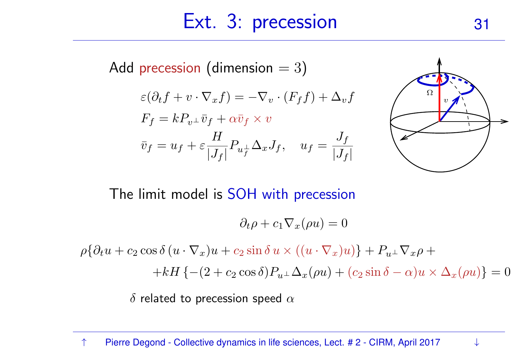#### Ext. 3: precession 31

Add precession (dimension  $=3)$  $\varepsilon(\partial_t f + v \cdot \nabla_x f) = -\nabla_v \cdot (F_f f) + \Delta_v f$  $F_f = k P_{v^\perp} \bar v_f + \alpha \bar v_f \times v_f$  $\bar{v}_f = u_f + \varepsilon$  $\,H$  $\frac{H}{|J_f|} P_{u_f^\perp} \Delta_x J_f, \quad u_f = \frac{J_f}{|J_f|}$ 



The limit model is SOH with precession

$$
\partial_t \rho + c_1 \nabla_x (\rho u) = 0
$$

 $\rho\{\partial_t u + c_2 \cos \delta (u \cdot \nabla_x)u + c_2 \sin \delta u \times ((u \cdot \nabla_x)u)\} + P_{u^{\perp}} \nabla_x \rho +$ +kH {-(2 + c<sub>2</sub> cos  $\delta$ ) $P_{u^{\perp}}\Delta_x(\rho u)$  + (c<sub>2</sub> sin  $\delta - \alpha$ ) $u \times \Delta_x(\rho u)$ } = 0

 $\delta$  related to precession speed  $\alpha$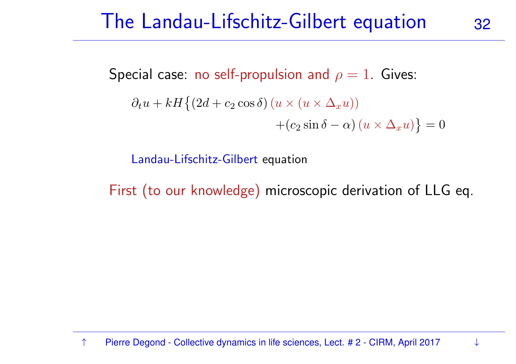## The Landau-Lifschitz-Gilbert equation <sup>32</sup>

Special case: no self-propulsion and  $\rho=1.$  Gives:

$$
\partial_t u + kH \{ (2d + c_2 \cos \delta) (u \times (u \times \Delta_x u)) + (c_2 \sin \delta - \alpha) (u \times \Delta_x u) \} = 0
$$

Landau-Lifschitz-Gilbert equation

First (to our knowledge) microscopic derivation of LLG eq.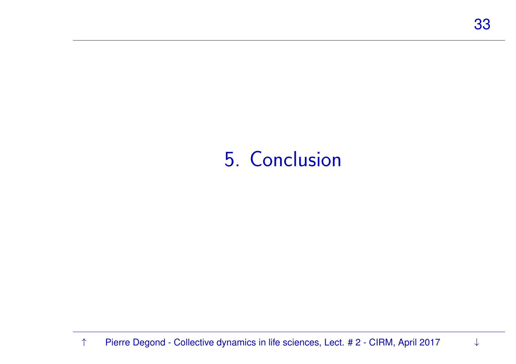#### <span id="page-32-0"></span>5. Conclusion